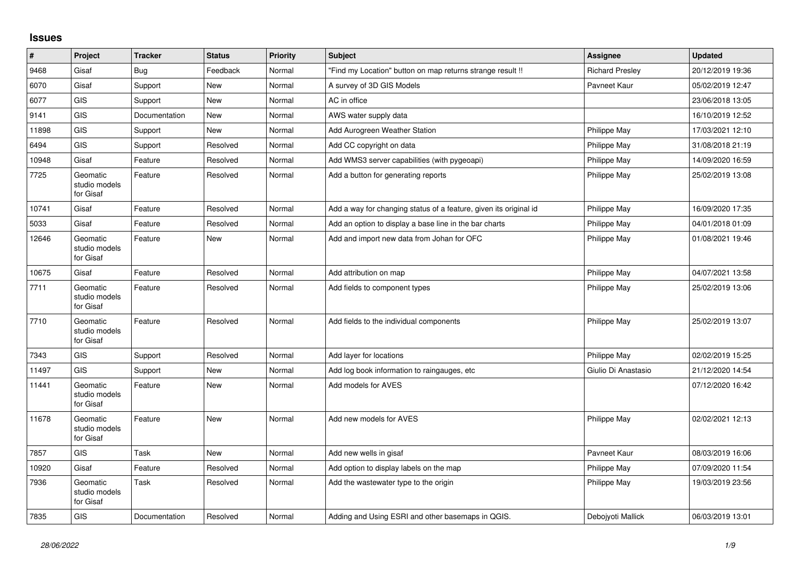## **Issues**

| $\pmb{\#}$ | Project                                | <b>Tracker</b> | <b>Status</b> | <b>Priority</b> | <b>Subject</b>                                                    | Assignee               | <b>Updated</b>   |
|------------|----------------------------------------|----------------|---------------|-----------------|-------------------------------------------------------------------|------------------------|------------------|
| 9468       | Gisaf                                  | Bug            | Feedback      | Normal          | 'Find my Location" button on map returns strange result !!        | <b>Richard Presley</b> | 20/12/2019 19:36 |
| 6070       | Gisaf                                  | Support        | <b>New</b>    | Normal          | A survey of 3D GIS Models                                         | Pavneet Kaur           | 05/02/2019 12:47 |
| 6077       | <b>GIS</b>                             | Support        | <b>New</b>    | Normal          | AC in office                                                      |                        | 23/06/2018 13:05 |
| 9141       | <b>GIS</b>                             | Documentation  | <b>New</b>    | Normal          | AWS water supply data                                             |                        | 16/10/2019 12:52 |
| 11898      | GIS                                    | Support        | New           | Normal          | Add Aurogreen Weather Station                                     | Philippe May           | 17/03/2021 12:10 |
| 6494       | <b>GIS</b>                             | Support        | Resolved      | Normal          | Add CC copyright on data                                          | Philippe May           | 31/08/2018 21:19 |
| 10948      | Gisaf                                  | Feature        | Resolved      | Normal          | Add WMS3 server capabilities (with pygeoapi)                      | Philippe May           | 14/09/2020 16:59 |
| 7725       | Geomatic<br>studio models<br>for Gisaf | Feature        | Resolved      | Normal          | Add a button for generating reports                               | Philippe May           | 25/02/2019 13:08 |
| 10741      | Gisaf                                  | Feature        | Resolved      | Normal          | Add a way for changing status of a feature, given its original id | Philippe May           | 16/09/2020 17:35 |
| 5033       | Gisaf                                  | Feature        | Resolved      | Normal          | Add an option to display a base line in the bar charts            | <b>Philippe May</b>    | 04/01/2018 01:09 |
| 12646      | Geomatic<br>studio models<br>for Gisaf | Feature        | New           | Normal          | Add and import new data from Johan for OFC                        | Philippe May           | 01/08/2021 19:46 |
| 10675      | Gisaf                                  | Feature        | Resolved      | Normal          | Add attribution on map                                            | Philippe May           | 04/07/2021 13:58 |
| 7711       | Geomatic<br>studio models<br>for Gisaf | Feature        | Resolved      | Normal          | Add fields to component types                                     | Philippe May           | 25/02/2019 13:06 |
| 7710       | Geomatic<br>studio models<br>for Gisaf | Feature        | Resolved      | Normal          | Add fields to the individual components                           | Philippe May           | 25/02/2019 13:07 |
| 7343       | GIS                                    | Support        | Resolved      | Normal          | Add layer for locations                                           | Philippe May           | 02/02/2019 15:25 |
| 11497      | GIS                                    | Support        | New           | Normal          | Add log book information to raingauges, etc                       | Giulio Di Anastasio    | 21/12/2020 14:54 |
| 11441      | Geomatic<br>studio models<br>for Gisaf | Feature        | <b>New</b>    | Normal          | Add models for AVES                                               |                        | 07/12/2020 16:42 |
| 11678      | Geomatic<br>studio models<br>for Gisaf | Feature        | <b>New</b>    | Normal          | Add new models for AVES                                           | Philippe May           | 02/02/2021 12:13 |
| 7857       | <b>GIS</b>                             | Task           | <b>New</b>    | Normal          | Add new wells in gisaf                                            | Payneet Kaur           | 08/03/2019 16:06 |
| 10920      | Gisaf                                  | Feature        | Resolved      | Normal          | Add option to display labels on the map                           | Philippe May           | 07/09/2020 11:54 |
| 7936       | Geomatic<br>studio models<br>for Gisaf | Task           | Resolved      | Normal          | Add the wastewater type to the origin                             | Philippe May           | 19/03/2019 23:56 |
| 7835       | GIS                                    | Documentation  | Resolved      | Normal          | Adding and Using ESRI and other basemaps in QGIS.                 | Deboivoti Mallick      | 06/03/2019 13:01 |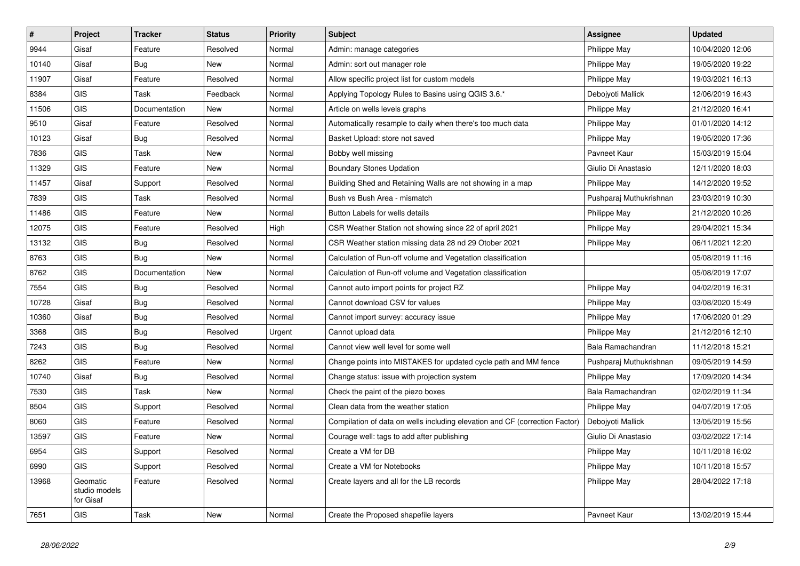| $\pmb{\#}$ | Project                                | <b>Tracker</b> | <b>Status</b> | <b>Priority</b> | <b>Subject</b>                                                              | <b>Assignee</b>         | <b>Updated</b>   |
|------------|----------------------------------------|----------------|---------------|-----------------|-----------------------------------------------------------------------------|-------------------------|------------------|
| 9944       | Gisaf                                  | Feature        | Resolved      | Normal          | Admin: manage categories                                                    | Philippe May            | 10/04/2020 12:06 |
| 10140      | Gisaf                                  | Bug            | <b>New</b>    | Normal          | Admin: sort out manager role                                                | Philippe May            | 19/05/2020 19:22 |
| 11907      | Gisaf                                  | Feature        | Resolved      | Normal          | Allow specific project list for custom models                               | Philippe May            | 19/03/2021 16:13 |
| 8384       | <b>GIS</b>                             | Task           | Feedback      | Normal          | Applying Topology Rules to Basins using QGIS 3.6.*                          | Debojyoti Mallick       | 12/06/2019 16:43 |
| 11506      | <b>GIS</b>                             | Documentation  | <b>New</b>    | Normal          | Article on wells levels graphs                                              | Philippe May            | 21/12/2020 16:41 |
| 9510       | Gisaf                                  | Feature        | Resolved      | Normal          | Automatically resample to daily when there's too much data                  | Philippe May            | 01/01/2020 14:12 |
| 10123      | Gisaf                                  | <b>Bug</b>     | Resolved      | Normal          | Basket Upload: store not saved                                              | Philippe May            | 19/05/2020 17:36 |
| 7836       | <b>GIS</b>                             | Task           | New           | Normal          | Bobby well missing                                                          | Pavneet Kaur            | 15/03/2019 15:04 |
| 11329      | <b>GIS</b>                             | Feature        | New           | Normal          | <b>Boundary Stones Updation</b>                                             | Giulio Di Anastasio     | 12/11/2020 18:03 |
| 11457      | Gisaf                                  | Support        | Resolved      | Normal          | Building Shed and Retaining Walls are not showing in a map                  | Philippe May            | 14/12/2020 19:52 |
| 7839       | <b>GIS</b>                             | Task           | Resolved      | Normal          | Bush vs Bush Area - mismatch                                                | Pushparaj Muthukrishnan | 23/03/2019 10:30 |
| 11486      | <b>GIS</b>                             | Feature        | <b>New</b>    | Normal          | Button Labels for wells details                                             | Philippe May            | 21/12/2020 10:26 |
| 12075      | <b>GIS</b>                             | Feature        | Resolved      | High            | CSR Weather Station not showing since 22 of april 2021                      | Philippe May            | 29/04/2021 15:34 |
| 13132      | <b>GIS</b>                             | Bug            | Resolved      | Normal          | CSR Weather station missing data 28 nd 29 Otober 2021                       | Philippe May            | 06/11/2021 12:20 |
| 8763       | <b>GIS</b>                             | Bug            | New           | Normal          | Calculation of Run-off volume and Vegetation classification                 |                         | 05/08/2019 11:16 |
| 8762       | <b>GIS</b>                             | Documentation  | New           | Normal          | Calculation of Run-off volume and Vegetation classification                 |                         | 05/08/2019 17:07 |
| 7554       | <b>GIS</b>                             | Bug            | Resolved      | Normal          | Cannot auto import points for project RZ                                    | Philippe May            | 04/02/2019 16:31 |
| 10728      | Gisaf                                  | <b>Bug</b>     | Resolved      | Normal          | Cannot download CSV for values                                              | Philippe May            | 03/08/2020 15:49 |
| 10360      | Gisaf                                  | <b>Bug</b>     | Resolved      | Normal          | Cannot import survey: accuracy issue                                        | Philippe May            | 17/06/2020 01:29 |
| 3368       | <b>GIS</b>                             | Bug            | Resolved      | Urgent          | Cannot upload data                                                          | Philippe May            | 21/12/2016 12:10 |
| 7243       | <b>GIS</b>                             | Bug            | Resolved      | Normal          | Cannot view well level for some well                                        | Bala Ramachandran       | 11/12/2018 15:21 |
| 8262       | <b>GIS</b>                             | Feature        | New           | Normal          | Change points into MISTAKES for updated cycle path and MM fence             | Pushparaj Muthukrishnan | 09/05/2019 14:59 |
| 10740      | Gisaf                                  | <b>Bug</b>     | Resolved      | Normal          | Change status: issue with projection system                                 | Philippe May            | 17/09/2020 14:34 |
| 7530       | <b>GIS</b>                             | Task           | New           | Normal          | Check the paint of the piezo boxes                                          | Bala Ramachandran       | 02/02/2019 11:34 |
| 8504       | GIS                                    | Support        | Resolved      | Normal          | Clean data from the weather station                                         | Philippe May            | 04/07/2019 17:05 |
| 8060       | <b>GIS</b>                             | Feature        | Resolved      | Normal          | Compilation of data on wells including elevation and CF (correction Factor) | Debojyoti Mallick       | 13/05/2019 15:56 |
| 13597      | <b>GIS</b>                             | Feature        | New           | Normal          | Courage well: tags to add after publishing                                  | Giulio Di Anastasio     | 03/02/2022 17:14 |
| 6954       | <b>GIS</b>                             | Support        | Resolved      | Normal          | Create a VM for DB                                                          | Philippe May            | 10/11/2018 16:02 |
| 6990       | <b>GIS</b>                             | Support        | Resolved      | Normal          | Create a VM for Notebooks                                                   | Philippe May            | 10/11/2018 15:57 |
| 13968      | Geomatic<br>studio models<br>for Gisaf | Feature        | Resolved      | Normal          | Create layers and all for the LB records                                    | Philippe May            | 28/04/2022 17:18 |
| 7651       | <b>GIS</b>                             | Task           | New           | Normal          | Create the Proposed shapefile layers                                        | Payneet Kaur            | 13/02/2019 15:44 |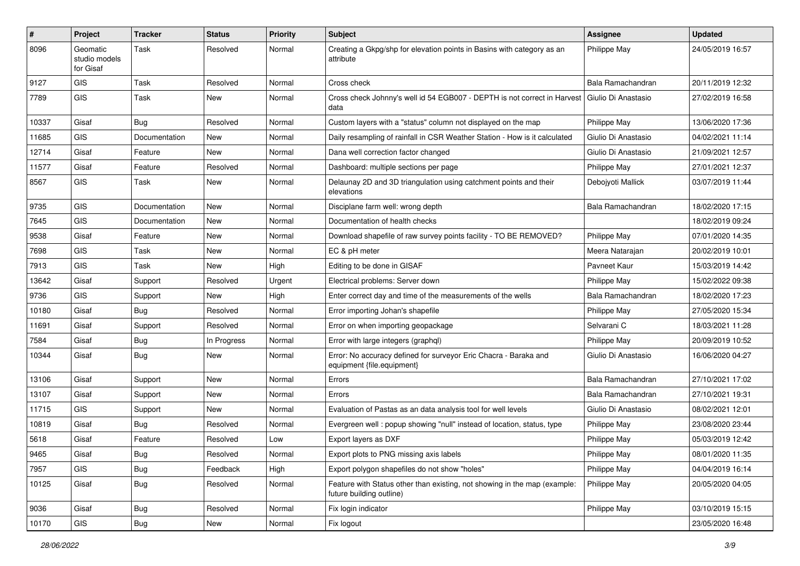| #     | Project                                | <b>Tracker</b> | <b>Status</b> | <b>Priority</b> | <b>Subject</b>                                                                                        | Assignee            | <b>Updated</b>   |
|-------|----------------------------------------|----------------|---------------|-----------------|-------------------------------------------------------------------------------------------------------|---------------------|------------------|
| 8096  | Geomatic<br>studio models<br>for Gisaf | Task           | Resolved      | Normal          | Creating a Gkpg/shp for elevation points in Basins with category as an<br>attribute                   | Philippe May        | 24/05/2019 16:57 |
| 9127  | GIS                                    | Task           | Resolved      | Normal          | Cross check                                                                                           | Bala Ramachandran   | 20/11/2019 12:32 |
| 7789  | GIS                                    | Task           | New           | Normal          | Cross check Johnny's well id 54 EGB007 - DEPTH is not correct in Harvest<br>data                      | Giulio Di Anastasio | 27/02/2019 16:58 |
| 10337 | Gisaf                                  | <b>Bug</b>     | Resolved      | Normal          | Custom layers with a "status" column not displayed on the map                                         | Philippe May        | 13/06/2020 17:36 |
| 11685 | <b>GIS</b>                             | Documentation  | New           | Normal          | Daily resampling of rainfall in CSR Weather Station - How is it calculated                            | Giulio Di Anastasio | 04/02/2021 11:14 |
| 12714 | Gisaf                                  | Feature        | <b>New</b>    | Normal          | Dana well correction factor changed                                                                   | Giulio Di Anastasio | 21/09/2021 12:57 |
| 11577 | Gisaf                                  | Feature        | Resolved      | Normal          | Dashboard: multiple sections per page                                                                 | Philippe May        | 27/01/2021 12:37 |
| 8567  | <b>GIS</b>                             | Task           | New           | Normal          | Delaunay 2D and 3D triangulation using catchment points and their<br>elevations                       | Debojyoti Mallick   | 03/07/2019 11:44 |
| 9735  | <b>GIS</b>                             | Documentation  | New           | Normal          | Disciplane farm well: wrong depth                                                                     | Bala Ramachandran   | 18/02/2020 17:15 |
| 7645  | GIS                                    | Documentation  | New           | Normal          | Documentation of health checks                                                                        |                     | 18/02/2019 09:24 |
| 9538  | Gisaf                                  | Feature        | <b>New</b>    | Normal          | Download shapefile of raw survey points facility - TO BE REMOVED?                                     | Philippe May        | 07/01/2020 14:35 |
| 7698  | <b>GIS</b>                             | Task           | New           | Normal          | EC & pH meter                                                                                         | Meera Natarajan     | 20/02/2019 10:01 |
| 7913  | GIS                                    | Task           | New           | High            | Editing to be done in GISAF                                                                           | Pavneet Kaur        | 15/03/2019 14:42 |
| 13642 | Gisaf                                  | Support        | Resolved      | Urgent          | Electrical problems: Server down                                                                      | Philippe May        | 15/02/2022 09:38 |
| 9736  | <b>GIS</b>                             | Support        | New           | High            | Enter correct day and time of the measurements of the wells                                           | Bala Ramachandran   | 18/02/2020 17:23 |
| 10180 | Gisaf                                  | Bug            | Resolved      | Normal          | Error importing Johan's shapefile                                                                     | Philippe May        | 27/05/2020 15:34 |
| 11691 | Gisaf                                  | Support        | Resolved      | Normal          | Error on when importing geopackage                                                                    | Selvarani C         | 18/03/2021 11:28 |
| 7584  | Gisaf                                  | Bug            | In Progress   | Normal          | Error with large integers (graphql)                                                                   | Philippe May        | 20/09/2019 10:52 |
| 10344 | Gisaf                                  | Bug            | New           | Normal          | Error: No accuracy defined for surveyor Eric Chacra - Baraka and<br>equipment {file.equipment}        | Giulio Di Anastasio | 16/06/2020 04:27 |
| 13106 | Gisaf                                  | Support        | New           | Normal          | Errors                                                                                                | Bala Ramachandran   | 27/10/2021 17:02 |
| 13107 | Gisaf                                  | Support        | New           | Normal          | Errors                                                                                                | Bala Ramachandran   | 27/10/2021 19:31 |
| 11715 | <b>GIS</b>                             | Support        | New           | Normal          | Evaluation of Pastas as an data analysis tool for well levels                                         | Giulio Di Anastasio | 08/02/2021 12:01 |
| 10819 | Gisaf                                  | Bug            | Resolved      | Normal          | Evergreen well: popup showing "null" instead of location, status, type                                | Philippe May        | 23/08/2020 23:44 |
| 5618  | Gisaf                                  | Feature        | Resolved      | Low             | Export layers as DXF                                                                                  | Philippe May        | 05/03/2019 12:42 |
| 9465  | Gisaf                                  | Bug            | Resolved      | Normal          | Export plots to PNG missing axis labels                                                               | Philippe May        | 08/01/2020 11:35 |
| 7957  | GIS                                    | Bug            | Feedback      | High            | Export polygon shapefiles do not show "holes"                                                         | Philippe May        | 04/04/2019 16:14 |
| 10125 | Gisaf                                  | <b>Bug</b>     | Resolved      | Normal          | Feature with Status other than existing, not showing in the map (example:<br>future building outline) | Philippe May        | 20/05/2020 04:05 |
| 9036  | Gisaf                                  | <b>Bug</b>     | Resolved      | Normal          | Fix login indicator                                                                                   | Philippe May        | 03/10/2019 15:15 |
| 10170 | GIS                                    | Bug            | New           | Normal          | Fix logout                                                                                            |                     | 23/05/2020 16:48 |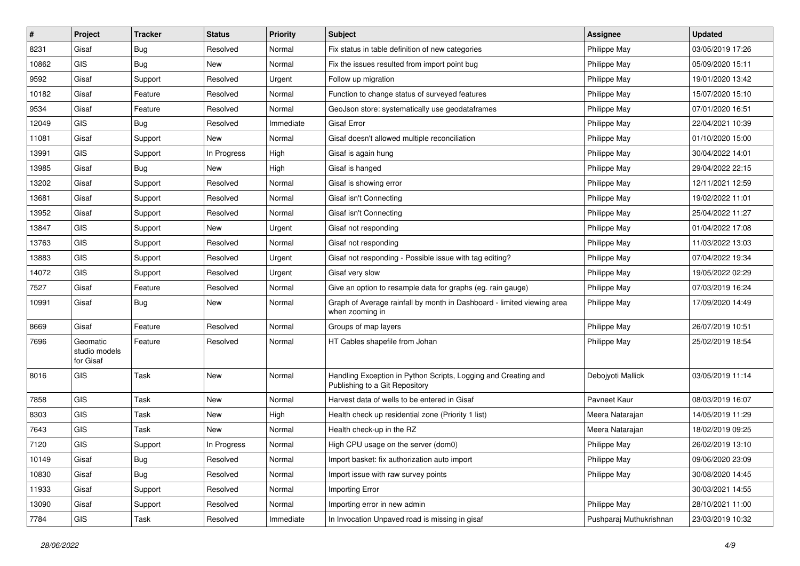| #     | Project                                | <b>Tracker</b> | <b>Status</b> | <b>Priority</b> | <b>Subject</b>                                                                                   | <b>Assignee</b>         | <b>Updated</b>   |
|-------|----------------------------------------|----------------|---------------|-----------------|--------------------------------------------------------------------------------------------------|-------------------------|------------------|
| 8231  | Gisaf                                  | Bug            | Resolved      | Normal          | Fix status in table definition of new categories                                                 | Philippe May            | 03/05/2019 17:26 |
| 10862 | <b>GIS</b>                             | Bug            | New           | Normal          | Fix the issues resulted from import point bug                                                    | Philippe May            | 05/09/2020 15:11 |
| 9592  | Gisaf                                  | Support        | Resolved      | Urgent          | Follow up migration                                                                              | Philippe May            | 19/01/2020 13:42 |
| 10182 | Gisaf                                  | Feature        | Resolved      | Normal          | Function to change status of surveyed features                                                   | Philippe May            | 15/07/2020 15:10 |
| 9534  | Gisaf                                  | Feature        | Resolved      | Normal          | GeoJson store: systematically use geodataframes                                                  | Philippe May            | 07/01/2020 16:51 |
| 12049 | <b>GIS</b>                             | Bug            | Resolved      | Immediate       | Gisaf Error                                                                                      | Philippe May            | 22/04/2021 10:39 |
| 11081 | Gisaf                                  | Support        | New           | Normal          | Gisaf doesn't allowed multiple reconciliation                                                    | Philippe May            | 01/10/2020 15:00 |
| 13991 | GIS                                    | Support        | In Progress   | High            | Gisaf is again hung                                                                              | Philippe May            | 30/04/2022 14:01 |
| 13985 | Gisaf                                  | Bug            | New           | High            | Gisaf is hanged                                                                                  | Philippe May            | 29/04/2022 22:15 |
| 13202 | Gisaf                                  | Support        | Resolved      | Normal          | Gisaf is showing error                                                                           | Philippe May            | 12/11/2021 12:59 |
| 13681 | Gisaf                                  | Support        | Resolved      | Normal          | Gisaf isn't Connecting                                                                           | Philippe May            | 19/02/2022 11:01 |
| 13952 | Gisaf                                  | Support        | Resolved      | Normal          | Gisaf isn't Connecting                                                                           | Philippe May            | 25/04/2022 11:27 |
| 13847 | <b>GIS</b>                             | Support        | <b>New</b>    | Urgent          | Gisaf not responding                                                                             | Philippe May            | 01/04/2022 17:08 |
| 13763 | GIS                                    | Support        | Resolved      | Normal          | Gisaf not responding                                                                             | Philippe May            | 11/03/2022 13:03 |
| 13883 | <b>GIS</b>                             | Support        | Resolved      | Urgent          | Gisaf not responding - Possible issue with tag editing?                                          | Philippe May            | 07/04/2022 19:34 |
| 14072 | <b>GIS</b>                             | Support        | Resolved      | Urgent          | Gisaf very slow                                                                                  | Philippe May            | 19/05/2022 02:29 |
| 7527  | Gisaf                                  | Feature        | Resolved      | Normal          | Give an option to resample data for graphs (eg. rain gauge)                                      | Philippe May            | 07/03/2019 16:24 |
| 10991 | Gisaf                                  | Bug            | <b>New</b>    | Normal          | Graph of Average rainfall by month in Dashboard - limited viewing area<br>when zooming in        | Philippe May            | 17/09/2020 14:49 |
| 8669  | Gisaf                                  | Feature        | Resolved      | Normal          | Groups of map layers                                                                             | Philippe May            | 26/07/2019 10:51 |
| 7696  | Geomatic<br>studio models<br>for Gisaf | Feature        | Resolved      | Normal          | HT Cables shapefile from Johan                                                                   | Philippe May            | 25/02/2019 18:54 |
| 8016  | <b>GIS</b>                             | Task           | New           | Normal          | Handling Exception in Python Scripts, Logging and Creating and<br>Publishing to a Git Repository | Debojyoti Mallick       | 03/05/2019 11:14 |
| 7858  | GIS                                    | Task           | New           | Normal          | Harvest data of wells to be entered in Gisaf                                                     | Pavneet Kaur            | 08/03/2019 16:07 |
| 8303  | <b>GIS</b>                             | Task           | New           | High            | Health check up residential zone (Priority 1 list)                                               | Meera Natarajan         | 14/05/2019 11:29 |
| 7643  | <b>GIS</b>                             | Task           | New           | Normal          | Health check-up in the RZ                                                                        | Meera Natarajan         | 18/02/2019 09:25 |
| 7120  | GIS                                    | Support        | In Progress   | Normal          | High CPU usage on the server (dom0)                                                              | Philippe May            | 26/02/2019 13:10 |
| 10149 | Gisaf                                  | <b>Bug</b>     | Resolved      | Normal          | Import basket: fix authorization auto import                                                     | Philippe May            | 09/06/2020 23:09 |
| 10830 | Gisaf                                  | <b>Bug</b>     | Resolved      | Normal          | Import issue with raw survey points                                                              | Philippe May            | 30/08/2020 14:45 |
| 11933 | Gisaf                                  | Support        | Resolved      | Normal          | Importing Error                                                                                  |                         | 30/03/2021 14:55 |
| 13090 | Gisaf                                  | Support        | Resolved      | Normal          | Importing error in new admin                                                                     | Philippe May            | 28/10/2021 11:00 |
| 7784  | GIS                                    | Task           | Resolved      | Immediate       | In Invocation Unpaved road is missing in gisaf                                                   | Pushparaj Muthukrishnan | 23/03/2019 10:32 |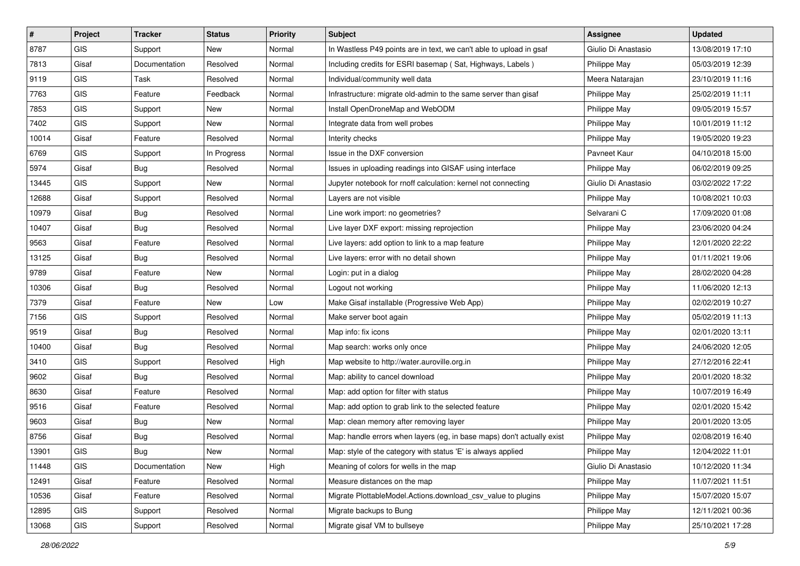| $\vert$ # | Project    | <b>Tracker</b> | <b>Status</b> | <b>Priority</b> | <b>Subject</b>                                                         | <b>Assignee</b>     | <b>Updated</b>   |
|-----------|------------|----------------|---------------|-----------------|------------------------------------------------------------------------|---------------------|------------------|
| 8787      | <b>GIS</b> | Support        | New           | Normal          | In Wastless P49 points are in text, we can't able to upload in gsaf    | Giulio Di Anastasio | 13/08/2019 17:10 |
| 7813      | Gisaf      | Documentation  | Resolved      | Normal          | Including credits for ESRI basemap (Sat, Highways, Labels)             | Philippe May        | 05/03/2019 12:39 |
| 9119      | <b>GIS</b> | Task           | Resolved      | Normal          | Individual/community well data                                         | Meera Natarajan     | 23/10/2019 11:16 |
| 7763      | <b>GIS</b> | Feature        | Feedback      | Normal          | Infrastructure: migrate old-admin to the same server than gisaf        | Philippe May        | 25/02/2019 11:11 |
| 7853      | GIS        | Support        | New           | Normal          | Install OpenDroneMap and WebODM                                        | Philippe May        | 09/05/2019 15:57 |
| 7402      | <b>GIS</b> | Support        | New           | Normal          | Integrate data from well probes                                        | Philippe May        | 10/01/2019 11:12 |
| 10014     | Gisaf      | Feature        | Resolved      | Normal          | Interity checks                                                        | Philippe May        | 19/05/2020 19:23 |
| 6769      | <b>GIS</b> | Support        | In Progress   | Normal          | Issue in the DXF conversion                                            | Pavneet Kaur        | 04/10/2018 15:00 |
| 5974      | Gisaf      | <b>Bug</b>     | Resolved      | Normal          | Issues in uploading readings into GISAF using interface                | Philippe May        | 06/02/2019 09:25 |
| 13445     | GIS        | Support        | New           | Normal          | Jupyter notebook for rnoff calculation: kernel not connecting          | Giulio Di Anastasio | 03/02/2022 17:22 |
| 12688     | Gisaf      | Support        | Resolved      | Normal          | Layers are not visible                                                 | Philippe May        | 10/08/2021 10:03 |
| 10979     | Gisaf      | <b>Bug</b>     | Resolved      | Normal          | Line work import: no geometries?                                       | Selvarani C         | 17/09/2020 01:08 |
| 10407     | Gisaf      | Bug            | Resolved      | Normal          | Live layer DXF export: missing reprojection                            | Philippe May        | 23/06/2020 04:24 |
| 9563      | Gisaf      | Feature        | Resolved      | Normal          | Live layers: add option to link to a map feature                       | Philippe May        | 12/01/2020 22:22 |
| 13125     | Gisaf      | <b>Bug</b>     | Resolved      | Normal          | Live layers: error with no detail shown                                | Philippe May        | 01/11/2021 19:06 |
| 9789      | Gisaf      | Feature        | New           | Normal          | Login: put in a dialog                                                 | Philippe May        | 28/02/2020 04:28 |
| 10306     | Gisaf      | <b>Bug</b>     | Resolved      | Normal          | Logout not working                                                     | Philippe May        | 11/06/2020 12:13 |
| 7379      | Gisaf      | Feature        | <b>New</b>    | Low             | Make Gisaf installable (Progressive Web App)                           | Philippe May        | 02/02/2019 10:27 |
| 7156      | <b>GIS</b> | Support        | Resolved      | Normal          | Make server boot again                                                 | Philippe May        | 05/02/2019 11:13 |
| 9519      | Gisaf      | Bug            | Resolved      | Normal          | Map info: fix icons                                                    | Philippe May        | 02/01/2020 13:11 |
| 10400     | Gisaf      | Bug            | Resolved      | Normal          | Map search: works only once                                            | Philippe May        | 24/06/2020 12:05 |
| 3410      | <b>GIS</b> | Support        | Resolved      | High            | Map website to http://water.auroville.org.in                           | Philippe May        | 27/12/2016 22:41 |
| 9602      | Gisaf      | Bug            | Resolved      | Normal          | Map: ability to cancel download                                        | Philippe May        | 20/01/2020 18:32 |
| 8630      | Gisaf      | Feature        | Resolved      | Normal          | Map: add option for filter with status                                 | Philippe May        | 10/07/2019 16:49 |
| 9516      | Gisaf      | Feature        | Resolved      | Normal          | Map: add option to grab link to the selected feature                   | Philippe May        | 02/01/2020 15:42 |
| 9603      | Gisaf      | <b>Bug</b>     | New           | Normal          | Map: clean memory after removing layer                                 | Philippe May        | 20/01/2020 13:05 |
| 8756      | Gisaf      | <b>Bug</b>     | Resolved      | Normal          | Map: handle errors when layers (eg. in base maps) don't actually exist | Philippe May        | 02/08/2019 16:40 |
| 13901     | GIS        | <b>Bug</b>     | New           | Normal          | Map: style of the category with status 'E' is always applied           | Philippe May        | 12/04/2022 11:01 |
| 11448     | <b>GIS</b> | Documentation  | New           | High            | Meaning of colors for wells in the map                                 | Giulio Di Anastasio | 10/12/2020 11:34 |
| 12491     | Gisaf      | Feature        | Resolved      | Normal          | Measure distances on the map                                           | Philippe May        | 11/07/2021 11:51 |
| 10536     | Gisaf      | Feature        | Resolved      | Normal          | Migrate PlottableModel.Actions.download_csv_value to plugins           | Philippe May        | 15/07/2020 15:07 |
| 12895     | GIS        | Support        | Resolved      | Normal          | Migrate backups to Bung                                                | Philippe May        | 12/11/2021 00:36 |
| 13068     | GIS        | Support        | Resolved      | Normal          | Migrate gisaf VM to bullseye                                           | Philippe May        | 25/10/2021 17:28 |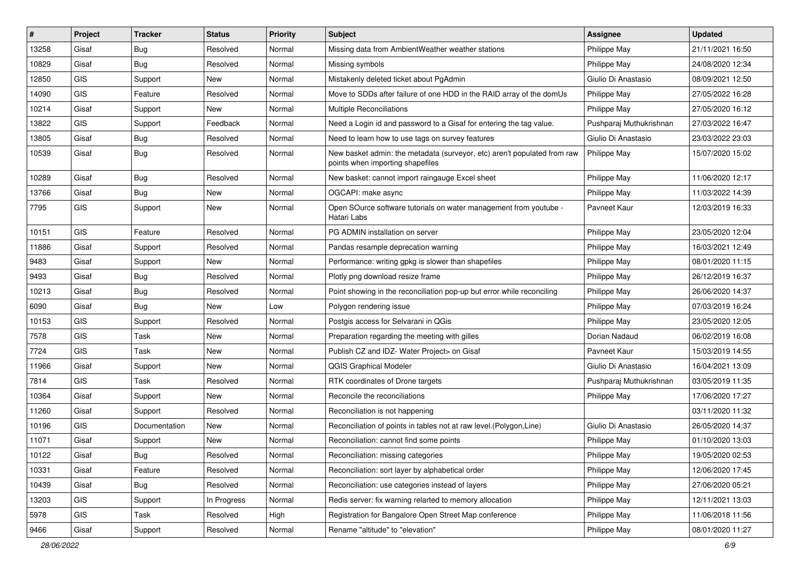| $\sharp$ | Project    | <b>Tracker</b> | <b>Status</b> | Priority | <b>Subject</b>                                                                                               | <b>Assignee</b>         | <b>Updated</b>   |
|----------|------------|----------------|---------------|----------|--------------------------------------------------------------------------------------------------------------|-------------------------|------------------|
| 13258    | Gisaf      | <b>Bug</b>     | Resolved      | Normal   | Missing data from AmbientWeather weather stations                                                            | Philippe May            | 21/11/2021 16:50 |
| 10829    | Gisaf      | Bug            | Resolved      | Normal   | Missing symbols                                                                                              | Philippe May            | 24/08/2020 12:34 |
| 12850    | <b>GIS</b> | Support        | <b>New</b>    | Normal   | Mistakenly deleted ticket about PgAdmin                                                                      | Giulio Di Anastasio     | 08/09/2021 12:50 |
| 14090    | <b>GIS</b> | Feature        | Resolved      | Normal   | Move to SDDs after failure of one HDD in the RAID array of the domUs                                         | Philippe May            | 27/05/2022 16:28 |
| 10214    | Gisaf      | Support        | New           | Normal   | Multiple Reconciliations                                                                                     | Philippe May            | 27/05/2020 16:12 |
| 13822    | <b>GIS</b> | Support        | Feedback      | Normal   | Need a Login id and password to a Gisaf for entering the tag value.                                          | Pushparaj Muthukrishnan | 27/03/2022 16:47 |
| 13805    | Gisaf      | Bug            | Resolved      | Normal   | Need to learn how to use tags on survey features                                                             | Giulio Di Anastasio     | 23/03/2022 23:03 |
| 10539    | Gisaf      | Bug            | Resolved      | Normal   | New basket admin: the metadata (surveyor, etc) aren't populated from raw<br>points when importing shapefiles | Philippe May            | 15/07/2020 15:02 |
| 10289    | Gisaf      | <b>Bug</b>     | Resolved      | Normal   | New basket: cannot import raingauge Excel sheet                                                              | Philippe May            | 11/06/2020 12:17 |
| 13766    | Gisaf      | <b>Bug</b>     | <b>New</b>    | Normal   | OGCAPI: make async                                                                                           | Philippe May            | 11/03/2022 14:39 |
| 7795     | <b>GIS</b> | Support        | New           | Normal   | Open SOurce software tutorials on water management from youtube -<br>Hatari Labs                             | Pavneet Kaur            | 12/03/2019 16:33 |
| 10151    | <b>GIS</b> | Feature        | Resolved      | Normal   | PG ADMIN installation on server                                                                              | Philippe May            | 23/05/2020 12:04 |
| 11886    | Gisaf      | Support        | Resolved      | Normal   | Pandas resample deprecation warning                                                                          | Philippe May            | 16/03/2021 12:49 |
| 9483     | Gisaf      | Support        | New           | Normal   | Performance: writing gpkg is slower than shapefiles                                                          | Philippe May            | 08/01/2020 11:15 |
| 9493     | Gisaf      | <b>Bug</b>     | Resolved      | Normal   | Plotly png download resize frame                                                                             | Philippe May            | 26/12/2019 16:37 |
| 10213    | Gisaf      | Bug            | Resolved      | Normal   | Point showing in the reconciliation pop-up but error while reconciling                                       | Philippe May            | 26/06/2020 14:37 |
| 6090     | Gisaf      | <b>Bug</b>     | New           | Low      | Polygon rendering issue                                                                                      | Philippe May            | 07/03/2019 16:24 |
| 10153    | <b>GIS</b> | Support        | Resolved      | Normal   | Postgis access for Selvarani in QGis                                                                         | Philippe May            | 23/05/2020 12:05 |
| 7578     | <b>GIS</b> | Task           | <b>New</b>    | Normal   | Preparation regarding the meeting with gilles                                                                | Dorian Nadaud           | 06/02/2019 16:08 |
| 7724     | GIS        | Task           | New           | Normal   | Publish CZ and IDZ- Water Project> on Gisaf                                                                  | Pavneet Kaur            | 15/03/2019 14:55 |
| 11966    | Gisaf      | Support        | New           | Normal   | QGIS Graphical Modeler                                                                                       | Giulio Di Anastasio     | 16/04/2021 13:09 |
| 7814     | <b>GIS</b> | Task           | Resolved      | Normal   | RTK coordinates of Drone targets                                                                             | Pushparaj Muthukrishnan | 03/05/2019 11:35 |
| 10364    | Gisaf      | Support        | New           | Normal   | Reconcile the reconciliations                                                                                | Philippe May            | 17/06/2020 17:27 |
| 11260    | Gisaf      | Support        | Resolved      | Normal   | Reconciliation is not happening                                                                              |                         | 03/11/2020 11:32 |
| 10196    | <b>GIS</b> | Documentation  | <b>New</b>    | Normal   | Reconciliation of points in tables not at raw level. (Polygon, Line)                                         | Giulio Di Anastasio     | 26/05/2020 14:37 |
| 11071    | Gisaf      | Support        | <b>New</b>    | Normal   | Reconciliation: cannot find some points                                                                      | Philippe May            | 01/10/2020 13:03 |
| 10122    | Gisaf      | Bug            | Resolved      | Normal   | Reconciliation: missing categories                                                                           | Philippe May            | 19/05/2020 02:53 |
| 10331    | Gisaf      | Feature        | Resolved      | Normal   | Reconciliation: sort layer by alphabetical order                                                             | Philippe May            | 12/06/2020 17:45 |
| 10439    | Gisaf      | Bug            | Resolved      | Normal   | Reconciliation: use categories instead of layers                                                             | Philippe May            | 27/06/2020 05:21 |
| 13203    | <b>GIS</b> | Support        | In Progress   | Normal   | Redis server: fix warning relarted to memory allocation                                                      | Philippe May            | 12/11/2021 13:03 |
| 5978     | GIS        | Task           | Resolved      | High     | Registration for Bangalore Open Street Map conference                                                        | Philippe May            | 11/06/2018 11:56 |
| 9466     | Gisaf      | Support        | Resolved      | Normal   | Rename "altitude" to "elevation"                                                                             | Philippe May            | 08/01/2020 11:27 |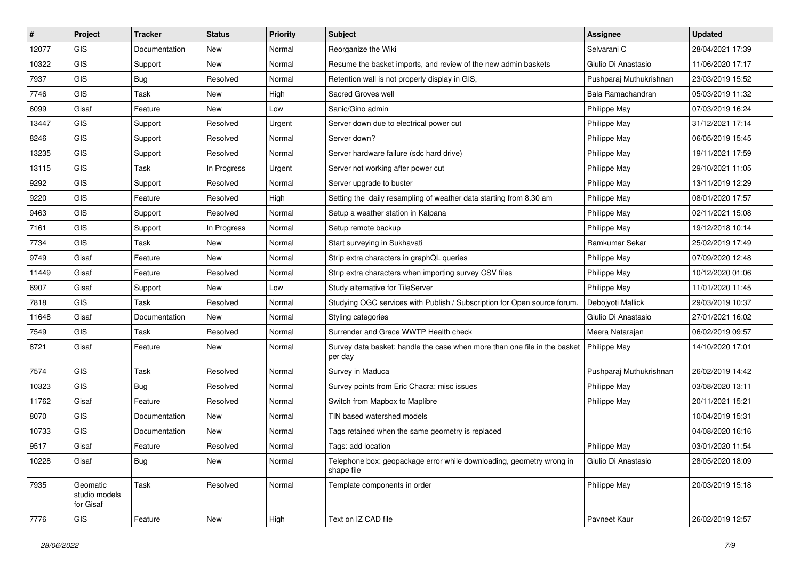| #     | Project                                | <b>Tracker</b> | <b>Status</b> | Priority | <b>Subject</b>                                                                       | <b>Assignee</b>         | <b>Updated</b>   |
|-------|----------------------------------------|----------------|---------------|----------|--------------------------------------------------------------------------------------|-------------------------|------------------|
| 12077 | <b>GIS</b>                             | Documentation  | New           | Normal   | Reorganize the Wiki                                                                  | Selvarani C             | 28/04/2021 17:39 |
| 10322 | <b>GIS</b>                             | Support        | New           | Normal   | Resume the basket imports, and review of the new admin baskets                       | Giulio Di Anastasio     | 11/06/2020 17:17 |
| 7937  | GIS                                    | <b>Bug</b>     | Resolved      | Normal   | Retention wall is not properly display in GIS,                                       | Pushparaj Muthukrishnan | 23/03/2019 15:52 |
| 7746  | GIS                                    | Task           | New           | High     | Sacred Groves well                                                                   | Bala Ramachandran       | 05/03/2019 11:32 |
| 6099  | Gisaf                                  | Feature        | New           | Low      | Sanic/Gino admin                                                                     | Philippe May            | 07/03/2019 16:24 |
| 13447 | <b>GIS</b>                             | Support        | Resolved      | Urgent   | Server down due to electrical power cut                                              | Philippe May            | 31/12/2021 17:14 |
| 8246  | GIS                                    | Support        | Resolved      | Normal   | Server down?                                                                         | Philippe May            | 06/05/2019 15:45 |
| 13235 | GIS                                    | Support        | Resolved      | Normal   | Server hardware failure (sdc hard drive)                                             | Philippe May            | 19/11/2021 17:59 |
| 13115 | GIS                                    | Task           | In Progress   | Urgent   | Server not working after power cut                                                   | Philippe May            | 29/10/2021 11:05 |
| 9292  | GIS                                    | Support        | Resolved      | Normal   | Server upgrade to buster                                                             | Philippe May            | 13/11/2019 12:29 |
| 9220  | GIS                                    | Feature        | Resolved      | High     | Setting the daily resampling of weather data starting from 8.30 am                   | Philippe May            | 08/01/2020 17:57 |
| 9463  | GIS                                    | Support        | Resolved      | Normal   | Setup a weather station in Kalpana                                                   | Philippe May            | 02/11/2021 15:08 |
| 7161  | GIS                                    | Support        | In Progress   | Normal   | Setup remote backup                                                                  | Philippe May            | 19/12/2018 10:14 |
| 7734  | GIS                                    | Task           | New           | Normal   | Start surveying in Sukhavati                                                         | Ramkumar Sekar          | 25/02/2019 17:49 |
| 9749  | Gisaf                                  | Feature        | <b>New</b>    | Normal   | Strip extra characters in graphQL queries                                            | Philippe May            | 07/09/2020 12:48 |
| 11449 | Gisaf                                  | Feature        | Resolved      | Normal   | Strip extra characters when importing survey CSV files                               | Philippe May            | 10/12/2020 01:06 |
| 6907  | Gisaf                                  | Support        | New           | Low      | Study alternative for TileServer                                                     | Philippe May            | 11/01/2020 11:45 |
| 7818  | GIS                                    | Task           | Resolved      | Normal   | Studying OGC services with Publish / Subscription for Open source forum.             | Debojyoti Mallick       | 29/03/2019 10:37 |
| 11648 | Gisaf                                  | Documentation  | New           | Normal   | Styling categories                                                                   | Giulio Di Anastasio     | 27/01/2021 16:02 |
| 7549  | GIS                                    | Task           | Resolved      | Normal   | Surrender and Grace WWTP Health check                                                | Meera Natarajan         | 06/02/2019 09:57 |
| 8721  | Gisaf                                  | Feature        | New           | Normal   | Survey data basket: handle the case when more than one file in the basket<br>per day | Philippe May            | 14/10/2020 17:01 |
| 7574  | GIS                                    | <b>Task</b>    | Resolved      | Normal   | Survey in Maduca                                                                     | Pushparaj Muthukrishnan | 26/02/2019 14:42 |
| 10323 | <b>GIS</b>                             | Bug            | Resolved      | Normal   | Survey points from Eric Chacra: misc issues                                          | Philippe May            | 03/08/2020 13:11 |
| 11762 | Gisaf                                  | Feature        | Resolved      | Normal   | Switch from Mapbox to Maplibre                                                       | Philippe May            | 20/11/2021 15:21 |
| 8070  | <b>GIS</b>                             | Documentation  | New           | Normal   | TIN based watershed models                                                           |                         | 10/04/2019 15:31 |
| 10733 | GIS                                    | Documentation  | New           | Normal   | Tags retained when the same geometry is replaced                                     |                         | 04/08/2020 16:16 |
| 9517  | Gisaf                                  | Feature        | Resolved      | Normal   | Tags: add location                                                                   | Philippe May            | 03/01/2020 11:54 |
| 10228 | Gisaf                                  | Bug            | New           | Normal   | Telephone box: geopackage error while downloading, geometry wrong in<br>shape file   | Giulio Di Anastasio     | 28/05/2020 18:09 |
| 7935  | Geomatic<br>studio models<br>for Gisaf | Task           | Resolved      | Normal   | Template components in order                                                         | Philippe May            | 20/03/2019 15:18 |
| 7776  | GIS                                    | Feature        | New           | High     | Text on IZ CAD file                                                                  | Pavneet Kaur            | 26/02/2019 12:57 |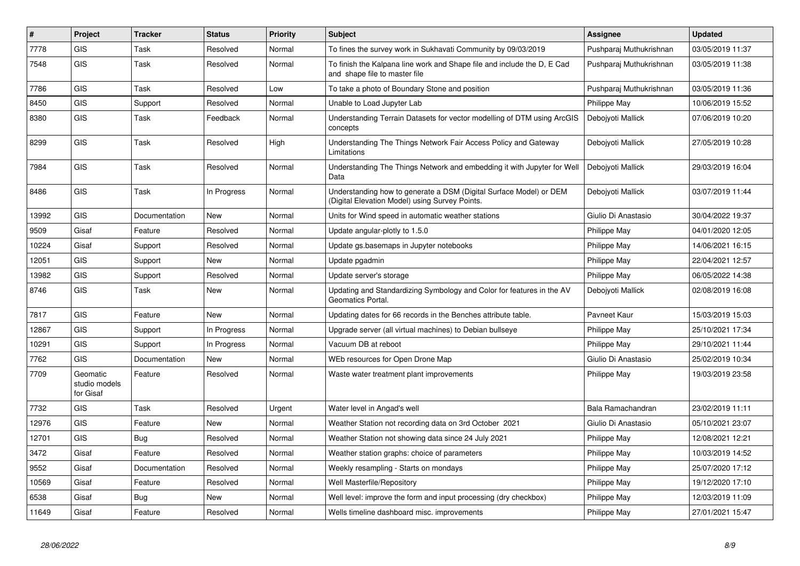| $\vert$ # | Project                                | <b>Tracker</b> | <b>Status</b> | Priority | <b>Subject</b>                                                                                                       | <b>Assignee</b>         | <b>Updated</b>   |
|-----------|----------------------------------------|----------------|---------------|----------|----------------------------------------------------------------------------------------------------------------------|-------------------------|------------------|
| 7778      | GIS                                    | Task           | Resolved      | Normal   | To fines the survey work in Sukhavati Community by 09/03/2019                                                        | Pushparaj Muthukrishnan | 03/05/2019 11:37 |
| 7548      | <b>GIS</b>                             | Task           | Resolved      | Normal   | To finish the Kalpana line work and Shape file and include the D, E Cad<br>and shape file to master file             | Pushparaj Muthukrishnan | 03/05/2019 11:38 |
| 7786      | GIS                                    | Task           | Resolved      | Low      | To take a photo of Boundary Stone and position                                                                       | Pushparaj Muthukrishnan | 03/05/2019 11:36 |
| 8450      | GIS                                    | Support        | Resolved      | Normal   | Unable to Load Jupyter Lab                                                                                           | Philippe May            | 10/06/2019 15:52 |
| 8380      | <b>GIS</b>                             | Task           | Feedback      | Normal   | Understanding Terrain Datasets for vector modelling of DTM using ArcGIS<br>concepts                                  | Debojyoti Mallick       | 07/06/2019 10:20 |
| 8299      | <b>GIS</b>                             | Task           | Resolved      | High     | Understanding The Things Network Fair Access Policy and Gateway<br>Limitations                                       | Debojyoti Mallick       | 27/05/2019 10:28 |
| 7984      | GIS                                    | Task           | Resolved      | Normal   | Understanding The Things Network and embedding it with Jupyter for Well<br>Data                                      | Debojyoti Mallick       | 29/03/2019 16:04 |
| 8486      | <b>GIS</b>                             | Task           | In Progress   | Normal   | Understanding how to generate a DSM (Digital Surface Model) or DEM<br>(Digital Elevation Model) using Survey Points. | Debojyoti Mallick       | 03/07/2019 11:44 |
| 13992     | <b>GIS</b>                             | Documentation  | <b>New</b>    | Normal   | Units for Wind speed in automatic weather stations                                                                   | Giulio Di Anastasio     | 30/04/2022 19:37 |
| 9509      | Gisaf                                  | Feature        | Resolved      | Normal   | Update angular-plotly to 1.5.0                                                                                       | Philippe May            | 04/01/2020 12:05 |
| 10224     | Gisaf                                  | Support        | Resolved      | Normal   | Update gs.basemaps in Jupyter notebooks                                                                              | <b>Philippe May</b>     | 14/06/2021 16:15 |
| 12051     | GIS                                    | Support        | <b>New</b>    | Normal   | Update pgadmin                                                                                                       | Philippe May            | 22/04/2021 12:57 |
| 13982     | <b>GIS</b>                             | Support        | Resolved      | Normal   | Update server's storage                                                                                              | Philippe May            | 06/05/2022 14:38 |
| 8746      | <b>GIS</b>                             | Task           | <b>New</b>    | Normal   | Updating and Standardizing Symbology and Color for features in the AV<br>Geomatics Portal.                           | Debojyoti Mallick       | 02/08/2019 16:08 |
| 7817      | <b>GIS</b>                             | Feature        | <b>New</b>    | Normal   | Updating dates for 66 records in the Benches attribute table.                                                        | Pavneet Kaur            | 15/03/2019 15:03 |
| 12867     | <b>GIS</b>                             | Support        | In Progress   | Normal   | Upgrade server (all virtual machines) to Debian bullseye                                                             | Philippe May            | 25/10/2021 17:34 |
| 10291     | <b>GIS</b>                             | Support        | In Progress   | Normal   | Vacuum DB at reboot                                                                                                  | Philippe May            | 29/10/2021 11:44 |
| 7762      | <b>GIS</b>                             | Documentation  | <b>New</b>    | Normal   | WEb resources for Open Drone Map                                                                                     | Giulio Di Anastasio     | 25/02/2019 10:34 |
| 7709      | Geomatic<br>studio models<br>for Gisaf | Feature        | Resolved      | Normal   | Waste water treatment plant improvements                                                                             | Philippe May            | 19/03/2019 23:58 |
| 7732      | GIS                                    | Task           | Resolved      | Urgent   | Water level in Angad's well                                                                                          | Bala Ramachandran       | 23/02/2019 11:11 |
| 12976     | <b>GIS</b>                             | Feature        | <b>New</b>    | Normal   | Weather Station not recording data on 3rd October 2021                                                               | Giulio Di Anastasio     | 05/10/2021 23:07 |
| 12701     | <b>GIS</b>                             | <b>Bug</b>     | Resolved      | Normal   | Weather Station not showing data since 24 July 2021                                                                  | Philippe May            | 12/08/2021 12:21 |
| 3472      | Gisaf                                  | Feature        | Resolved      | Normal   | Weather station graphs: choice of parameters                                                                         | Philippe May            | 10/03/2019 14:52 |
| 9552      | Gisaf                                  | Documentation  | Resolved      | Normal   | Weekly resampling - Starts on mondays                                                                                | Philippe May            | 25/07/2020 17:12 |
| 10569     | Gisaf                                  | Feature        | Resolved      | Normal   | Well Masterfile/Repository                                                                                           | Philippe May            | 19/12/2020 17:10 |
| 6538      | Gisaf                                  | Bug            | New           | Normal   | Well level: improve the form and input processing (dry checkbox)                                                     | Philippe May            | 12/03/2019 11:09 |
| 11649     | Gisaf                                  | Feature        | Resolved      | Normal   | Wells timeline dashboard misc. improvements                                                                          | Philippe May            | 27/01/2021 15:47 |